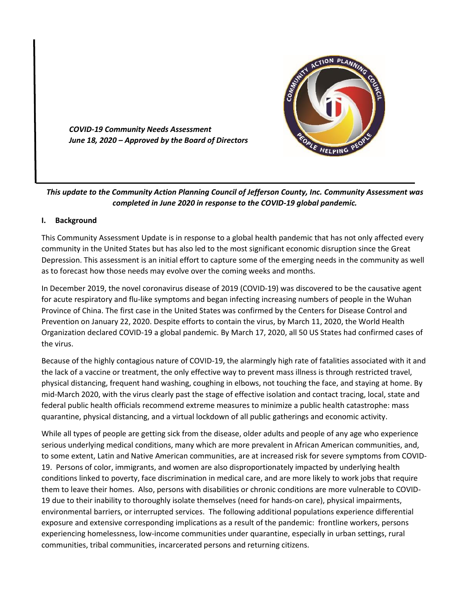

*COVID-19 Community Needs Assessment June 18, 2020 – Approved by the Board of Directors* 

# *This update to the Community Action Planning Council of Jefferson County, Inc. Community Assessment was completed in June 2020 in response to the COVID-19 global pandemic.*

#### **I. Background**

This Community Assessment Update is in response to a global health pandemic that has not only affected every community in the United States but has also led to the most significant economic disruption since the Great Depression. This assessment is an initial effort to capture some of the emerging needs in the community as well as to forecast how those needs may evolve over the coming weeks and months.

In December 2019, the novel coronavirus disease of 2019 (COVID-19) was discovered to be the causative agent for acute respiratory and flu-like symptoms and began infecting increasing numbers of people in the Wuhan Province of China. The first case in the United States was confirmed by the Centers for Disease Control and Prevention on January 22, 2020. Despite efforts to contain the virus, by March 11, 2020, the World Health Organization declared COVID-19 a global pandemic. By March 17, 2020, all 50 US States had confirmed cases of the virus.

Because of the highly contagious nature of COVID-19, the alarmingly high rate of fatalities associated with it and the lack of a vaccine or treatment, the only effective way to prevent mass illness is through restricted travel, physical distancing, frequent hand washing, coughing in elbows, not touching the face, and staying at home. By mid-March 2020, with the virus clearly past the stage of effective isolation and contact tracing, local, state and federal public health officials recommend extreme measures to minimize a public health catastrophe: mass quarantine, physical distancing, and a virtual lockdown of all public gatherings and economic activity.

While all types of people are getting sick from the disease, older adults and people of any age who experience serious underlying medical conditions, many which are more prevalent in African American communities, and, to some extent, Latin and Native American communities, are at increased risk for severe symptoms from COVID-19. Persons of color, immigrants, and women are also disproportionately impacted by underlying health conditions linked to poverty, face discrimination in medical care, and are more likely to work jobs that require them to leave their homes. Also, persons with disabilities or chronic conditions are more vulnerable to COVID-19 due to their inability to thoroughly isolate themselves (need for hands-on care), physical impairments, environmental barriers, or interrupted services. The following additional populations experience differential exposure and extensive corresponding implications as a result of the pandemic: frontline workers, persons experiencing homelessness, low-income communities under quarantine, especially in urban settings, rural communities, tribal communities, incarcerated persons and returning citizens.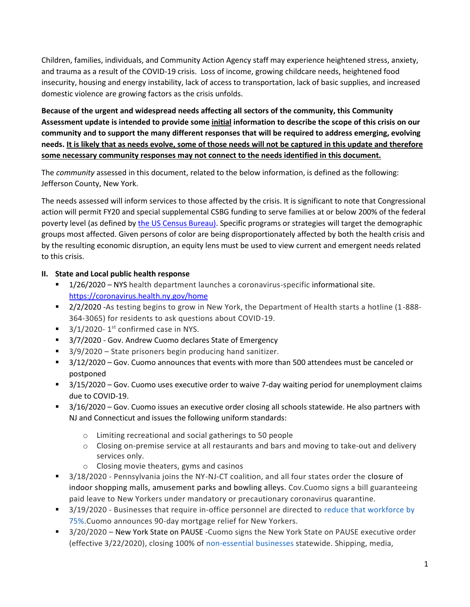Children, families, individuals, and Community Action Agency staff may experience heightened stress, anxiety, and trauma as a result of the COVID-19 crisis. Loss of income, growing childcare needs, heightened food insecurity, housing and energy instability, lack of access to transportation, lack of basic supplies, and increased domestic violence are growing factors as the crisis unfolds.

**Because of the urgent and widespread needs affecting all sectors of the community, this Community Assessment update is intended to provide some initial information to describe the scope of this crisis on our community and to support the many different responses that will be required to address emerging, evolving needs. It is likely that as needs evolve, some of those needs will not be captured in this update and therefore some necessary community responses may not connect to the needs identified in this document.**

The *community* assessed in this document, related to the below information, is defined as the following: Jefferson County, New York.

The needs assessed will inform services to those affected by the crisis. It is significant to note that Congressional action will permit FY20 and special supplemental CSBG funding to serve families at or below 200% of the federal poverty level (as defined by [the US Census Bureau\)](https://www.census.gov/data/tables/time-series/demo/income-poverty/historical-poverty-thresholds.html). Specific programs or strategies will target the demographic groups most affected. Given persons of color are being disproportionately affected by both the health crisis and by the resulting economic disruption, an equity lens must be used to view current and emergent needs related to this crisis.

# **II. State and Local public health response**

- 1/26/2020 NYS health department launches a coronavirus-specific informational site. <https://coronavirus.health.ny.gov/home>
- 2/2/2020 -As testing begins to grow in New York, the Department of Health starts a hotline (1-888- 364-3065) for residents to ask questions about COVID-19.
- $\blacksquare$  3/1/2020-1<sup>st</sup> confirmed case in NYS.
- 3/7/2020 Gov. Andrew Cuomo declares State of Emergency
- 3/9/2020 State prisoners begin producing hand sanitizer.
- 3/12/2020 Gov. Cuomo announces that events with more than 500 attendees must be canceled or postponed
- 3/15/2020 Gov. Cuomo uses executive order to waive 7-day waiting period for unemployment claims due to COVID-19.
- 3/16/2020 Gov. Cuomo issues an executive order closing all schools statewide. He also partners with NJ and Connecticut and issues the following uniform standards:
	- o Limiting recreational and social gatherings to 50 people
	- o Closing on-premise service at all restaurants and bars and moving to take-out and delivery services only.
	- o Closing movie theaters, gyms and casinos
- **5** 3/18/2020 Pennsylvania joins the NY-NJ-CT coalition, and all four states order the closure of indoor shopping malls, amusement parks and bowling alleys. Cov.Cuomo signs a bill guaranteeing paid leave to New Yorkers under mandatory or precautionary coronavirus quarantine.
- **5** 3/19/2020 Businesses that require in-office personnel are directed to reduce that workforce by 75%.Cuomo announces 90-day mortgage relief for New Yorkers.
- 3/20/2020 New York State on PAUSE -Cuomo signs the New York State on PAUSE executive order (effective 3/22/2020), closing 100% of non-essential businesses statewide. Shipping, media,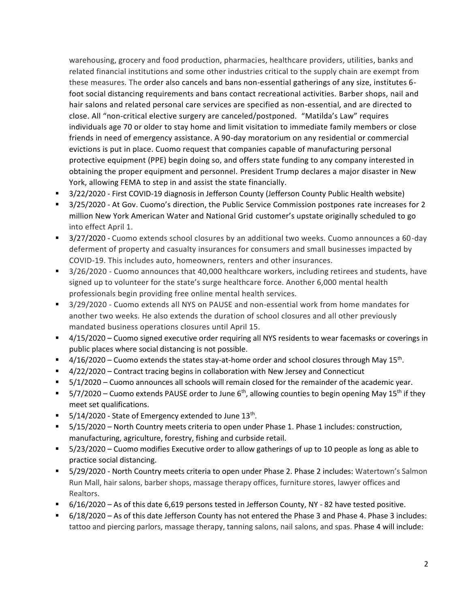warehousing, grocery and food production, pharmacies, healthcare providers, utilities, banks and related financial institutions and some other industries critical to the supply chain are exempt from these measures. The order also cancels and bans non-essential gatherings of any size, institutes 6 foot social distancing requirements and bans contact recreational activities. Barber shops, nail and hair salons and related personal care services are specified as non-essential, and are directed to close. All "non-critical elective surgery are canceled/postponed. "Matilda's Law" requires individuals age 70 or older to stay home and limit visitation to immediate family members or close friends in need of emergency assistance. A 90-day moratorium on any residential or commercial evictions is put in place. Cuomo request that companies capable of manufacturing personal protective equipment (PPE) begin doing so, and offers state funding to any company interested in obtaining the proper equipment and personnel. President Trump [declares](https://www.syracuse.com/coronavirus/2020/03/coronavirus-president-trump-declares-new-york-a-disaster-area.html) a major disaster in New York, allowing FEMA to step in and assist the state financially.

- 3/22/2020 First COVID-19 diagnosis in Jefferson County (Jefferson County Public Health website)
- 3/25/2020 At Gov. Cuomo's direction, the Public Service Commission postpones rate [increases](https://www.syracuse.com/coronavirus/2020/03/planned-national-grid-rate-hikes-postponed-in-upstate-ny-amid-coronavirus-outbreak.html) for 2 million New York American Water and National Grid customer's upstate originally scheduled to go into effect April 1.
- 3/27/2020 Cuomo extends school closures by an additional two weeks. Cuomo announces a 60-day deferment of property and casualty insurances for consumers and small businesses impacted by COVID-19. This includes auto, homeowners, renters and other insurances.
- 3/26/2020 Cuomo announces that 40,000 healthcare workers, including retirees and students, have signed up to volunteer for the state's surge healthcare force. Another 6,000 mental health professionals begin providing free online mental health services.
- 3/29/2020 Cuomo extends all NYS on PAUSE and non-essential work from home mandates for another two weeks. He also extends the duration of school closures and all other previously mandated business operations closures until April 15.
- 4/15/2020 Cuomo signed executive order requiring all NYS residents to wear facemasks or coverings in public places where social distancing is not possible.
- $\blacksquare$  4/16/2020 Cuomo extends the states stay-at-home order and school closures through May 15<sup>th</sup>.
- 4/22/2020 Contract tracing begins in collaboration with New Jersey and Connecticut
- 5/1/2020 Cuomo announces all schools will remain closed for the remainder of the academic year.
- 5/7/2020 Cuomo extends PAUSE order to June 6<sup>th</sup>, allowing counties to begin opening May 15<sup>th</sup> if they meet set qualifications.
- 5/14/2020 State of Emergency extended to June 13<sup>th</sup>.
- 5/15/2020 North Country meets criteria to open under Phase 1. Phase 1 includes: construction, manufacturing, agriculture, forestry, fishing and curbside retail.
- 5/23/2020 Cuomo modifies Executive order to allow gatherings of up to 10 people as long as able to practice social distancing.
- 5/29/2020 North Country meets criteria to open under Phase 2. Phase 2 includes: Watertown's Salmon Run Mall, hair salons, barber shops, massage therapy offices, furniture stores, lawyer offices and Realtors.
- 6/16/2020 As of this date 6,619 persons tested in Jefferson County, NY 82 have tested positive.
- 6/18/2020 As of this date Jefferson County has not entered the Phase 3 and Phase 4. Phase 3 includes: tattoo and piercing parlors, massage therapy, tanning salons, nail salons, and spas. Phase 4 will include: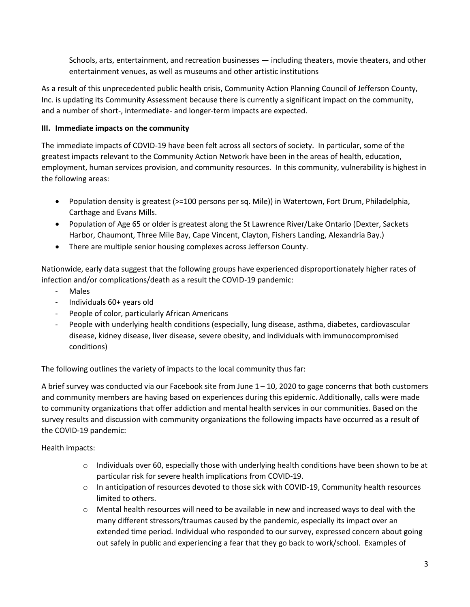Schools, arts, entertainment, and recreation businesses — including theaters, movie theaters, and other entertainment venues, as well as museums and other artistic institutions

As a result of this unprecedented public health crisis, Community Action Planning Council of Jefferson County, Inc. is updating its Community Assessment because there is currently a significant impact on the community, and a number of short-, intermediate- and longer-term impacts are expected.

## **III. Immediate impacts on the community**

The immediate impacts of COVID-19 have been felt across all sectors of society. In particular, some of the greatest impacts relevant to the Community Action Network have been in the areas of health, education, employment, human services provision, and community resources. In this community, vulnerability is highest in the following areas:

- Population density is greatest (>=100 persons per sq. Mile)) in Watertown, Fort Drum, Philadelphia, Carthage and Evans Mills.
- Population of Age 65 or older is greatest along the St Lawrence River/Lake Ontario (Dexter, Sackets Harbor, Chaumont, Three Mile Bay, Cape Vincent, Clayton, Fishers Landing, Alexandria Bay.)
- There are multiple senior housing complexes across Jefferson County.

Nationwide, early data suggest that the following groups have experienced disproportionately higher rates of infection and/or complications/death as a result the COVID-19 pandemic:

- **Males**
- Individuals 60+ years old
- People of color, particularly African Americans
- People with underlying health conditions (especially, lung disease, asthma, diabetes, cardiovascular disease, kidney disease, liver disease, severe obesity, and individuals with immunocompromised conditions)

The following outlines the variety of impacts to the local community thus far:

A brief survey was conducted via our Facebook site from June 1 – 10, 2020 to gage concerns that both customers and community members are having based on experiences during this epidemic. Additionally, calls were made to community organizations that offer addiction and mental health services in our communities. Based on the survey results and discussion with community organizations the following impacts have occurred as a result of the COVID-19 pandemic:

# Health impacts:

- $\circ$  Individuals over 60, especially those with underlying health conditions have been shown to be at particular risk for severe health implications from COVID-19.
- $\circ$  In anticipation of resources devoted to those sick with COVID-19, Community health resources limited to others.
- $\circ$  Mental health resources will need to be available in new and increased ways to deal with the many different stressors/traumas caused by the pandemic, especially its impact over an extended time period. Individual who responded to our survey, expressed concern about going out safely in public and experiencing a fear that they go back to work/school. Examples of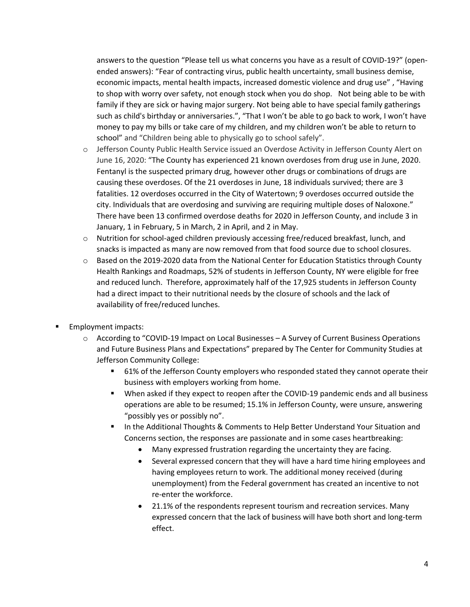answers to the question "Please tell us what concerns you have as a result of COVID-19?" (openended answers): "Fear of contracting virus, public health uncertainty, small business demise, economic impacts, mental health impacts, increased domestic violence and drug use" , "Having to shop with worry over safety, not enough stock when you do shop. Not being able to be with family if they are sick or having major surgery. Not being able to have special family gatherings such as child's birthday or anniversaries.", "That I won't be able to go back to work, I won't have money to pay my bills or take care of my children, and my children won't be able to return to school" and "Children being able to physically go to school safely".

- o Jefferson County Public Health Service issued an Overdose Activity in Jefferson County Alert on June 16, 2020: "The County has experienced 21 known overdoses from drug use in June, 2020. Fentanyl is the suspected primary drug, however other drugs or combinations of drugs are causing these overdoses. Of the 21 overdoses in June, 18 individuals survived; there are 3 fatalities. 12 overdoses occurred in the City of Watertown; 9 overdoses occurred outside the city. Individuals that are overdosing and surviving are requiring multiple doses of Naloxone." There have been 13 confirmed overdose deaths for 2020 in Jefferson County, and include 3 in January, 1 in February, 5 in March, 2 in April, and 2 in May.
- o Nutrition for school-aged children previously accessing free/reduced breakfast, lunch, and snacks is impacted as many are now removed from that food source due to school closures.
- $\circ$  Based on the 2019-2020 data from the National Center for Education Statistics through County Health Rankings and Roadmaps, 52% of students in Jefferson County, NY were eligible for free and reduced lunch. Therefore, approximately half of the 17,925 students in Jefferson County had a direct impact to their nutritional needs by the closure of schools and the lack of availability of free/reduced lunches.
- Employment impacts:
	- o According to "COVID-19 Impact on Local Businesses A Survey of Current Business Operations and Future Business Plans and Expectations" prepared by The Center for Community Studies at Jefferson Community College:
		- 61% of the Jefferson County employers who responded stated they cannot operate their business with employers working from home.
		- When asked if they expect to reopen after the COVID-19 pandemic ends and all business operations are able to be resumed; 15.1% in Jefferson County, were unsure, answering "possibly yes or possibly no".
		- **In the Additional Thoughts & Comments to Help Better Understand Your Situation and** Concerns section, the responses are passionate and in some cases heartbreaking:
			- Many expressed frustration regarding the uncertainty they are facing.
			- Several expressed concern that they will have a hard time hiring employees and having employees return to work. The additional money received (during unemployment) from the Federal government has created an incentive to not re-enter the workforce.
			- 21.1% of the respondents represent tourism and recreation services. Many expressed concern that the lack of business will have both short and long-term effect.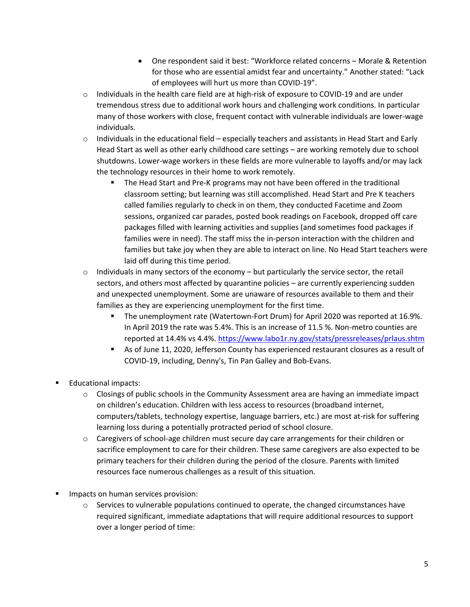- One respondent said it best: "Workforce related concerns Morale & Retention for those who are essential amidst fear and uncertainty." Another stated: "Lack of employees will hurt us more than COVID-19".
- $\circ$  Individuals in the health care field are at high-risk of exposure to COVID-19 and are under tremendous stress due to additional work hours and challenging work conditions. In particular many of those workers with close, frequent contact with vulnerable individuals are lower-wage individuals.
- $\circ$  Individuals in the educational field especially teachers and assistants in Head Start and Early Head Start as well as other early childhood care settings – are working remotely due to school shutdowns. Lower-wage workers in these fields are more vulnerable to layoffs and/or may lack the technology resources in their home to work remotely.
	- The Head Start and Pre-K programs may not have been offered in the traditional classroom setting; but learning was still accomplished. Head Start and Pre K teachers called families regularly to check in on them, they conducted Facetime and Zoom sessions, organized car parades, posted book readings on Facebook, dropped off care packages filled with learning activities and supplies (and sometimes food packages if families were in need). The staff miss the in-person interaction with the children and families but take joy when they are able to interact on line. No Head Start teachers were laid off during this time period.
- $\circ$  Individuals in many sectors of the economy but particularly the service sector, the retail sectors, and others most affected by quarantine policies – are currently experiencing sudden and unexpected unemployment. Some are unaware of resources available to them and their families as they are experiencing unemployment for the first time.
	- The unemployment rate (Watertown-Fort Drum) for April 2020 was reported at 16.9%. In April 2019 the rate was 5.4%. This is an increase of 11.5 %. Non-metro counties are reported at 14.4% vs 4.4%.<https://www.labo1r.ny.gov/stats/pressreleases/prlaus.shtm>
	- As of June 11, 2020, Jefferson County has experienced restaurant closures as a result of COVID-19, including, Denny's, Tin Pan Galley and Bob-Evans.
- Educational impacts:
	- $\circ$  Closings of public schools in the Community Assessment area are having an immediate impact on children's education. Children with less access to resources (broadband internet, computers/tablets, technology expertise, language barriers, etc.) are most at-risk for suffering learning loss during a potentially protracted period of school closure.
	- o Caregivers of school-age children must secure day care arrangements for their children or sacrifice employment to care for their children. These same caregivers are also expected to be primary teachers for their children during the period of the closure. Parents with limited resources face numerous challenges as a result of this situation.
- Impacts on human services provision:
	- $\circ$  Services to vulnerable populations continued to operate, the changed circumstances have required significant, immediate adaptations that will require additional resources to support over a longer period of time: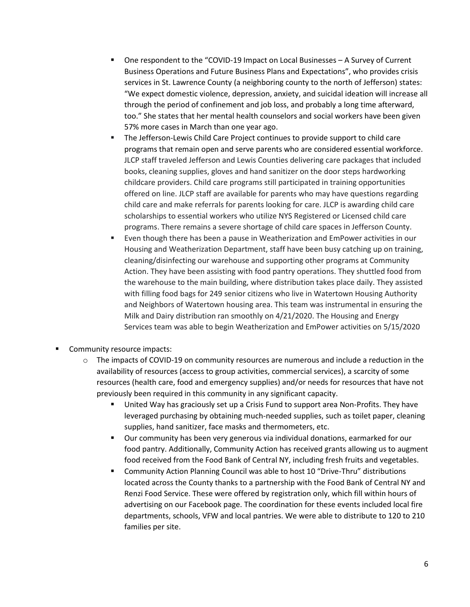- One respondent to the "COVID-19 Impact on Local Businesses A Survey of Current Business Operations and Future Business Plans and Expectations", who provides crisis services in St. Lawrence County (a neighboring county to the north of Jefferson) states: "We expect domestic violence, depression, anxiety, and suicidal ideation will increase all through the period of confinement and job loss, and probably a long time afterward, too." She states that her mental health counselors and social workers have been given 57% more cases in March than one year ago.
- The Jefferson-Lewis Child Care Project continues to provide support to child care programs that remain open and serve parents who are considered essential workforce. JLCP staff traveled Jefferson and Lewis Counties delivering care packages that included books, cleaning supplies, gloves and hand sanitizer on the door steps hardworking childcare providers. Child care programs still participated in training opportunities offered on line. JLCP staff are available for parents who may have questions regarding child care and make referrals for parents looking for care. JLCP is awarding child care scholarships to essential workers who utilize NYS Registered or Licensed child care programs. There remains a severe shortage of child care spaces in Jefferson County.
- Even though there has been a pause in Weatherization and EmPower activities in our Housing and Weatherization Department, staff have been busy catching up on training, cleaning/disinfecting our warehouse and supporting other programs at Community Action. They have been assisting with food pantry operations. They shuttled food from the warehouse to the main building, where distribution takes place daily. They assisted with filling food bags for 249 senior citizens who live in Watertown Housing Authority and Neighbors of Watertown housing area. This team was instrumental in ensuring the Milk and Dairy distribution ran smoothly on 4/21/2020. The Housing and Energy Services team was able to begin Weatherization and EmPower activities on 5/15/2020
- Community resource impacts:
	- $\circ$  The impacts of COVID-19 on community resources are numerous and include a reduction in the availability of resources (access to group activities, commercial services), a scarcity of some resources (health care, food and emergency supplies) and/or needs for resources that have not previously been required in this community in any significant capacity.
		- United Way has graciously set up a Crisis Fund to support area Non-Profits. They have leveraged purchasing by obtaining much-needed supplies, such as toilet paper, cleaning supplies, hand sanitizer, face masks and thermometers, etc.
		- Our community has been very generous via individual donations, earmarked for our food pantry. Additionally, Community Action has received grants allowing us to augment food received from the Food Bank of Central NY, including fresh fruits and vegetables.
		- Community Action Planning Council was able to host 10 "Drive-Thru" distributions located across the County thanks to a partnership with the Food Bank of Central NY and Renzi Food Service. These were offered by registration only, which fill within hours of advertising on our Facebook page. The coordination for these events included local fire departments, schools, VFW and local pantries. We were able to distribute to 120 to 210 families per site.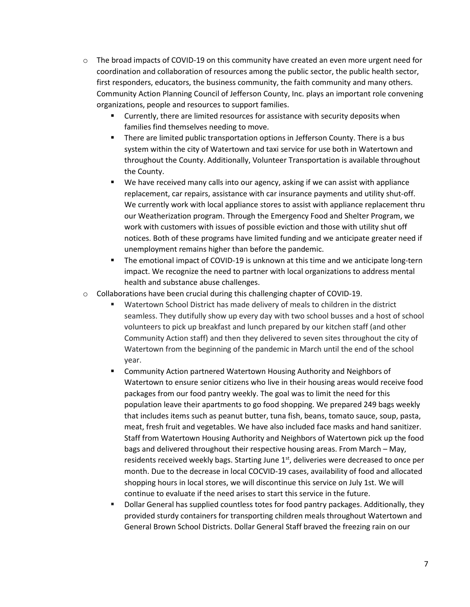- $\circ$  The broad impacts of COVID-19 on this community have created an even more urgent need for coordination and collaboration of resources among the public sector, the public health sector, first responders, educators, the business community, the faith community and many others. Community Action Planning Council of Jefferson County, Inc. plays an important role convening organizations, people and resources to support families.
	- Currently, there are limited resources for assistance with security deposits when families find themselves needing to move.
	- There are limited public transportation options in Jefferson County. There is a bus system within the city of Watertown and taxi service for use both in Watertown and throughout the County. Additionally, Volunteer Transportation is available throughout the County.
	- We have received many calls into our agency, asking if we can assist with appliance replacement, car repairs, assistance with car insurance payments and utility shut-off. We currently work with local appliance stores to assist with appliance replacement thru our Weatherization program. Through the Emergency Food and Shelter Program, we work with customers with issues of possible eviction and those with utility shut off notices. Both of these programs have limited funding and we anticipate greater need if unemployment remains higher than before the pandemic.
	- **The emotional impact of COVID-19 is unknown at this time and we anticipate long-tern** impact. We recognize the need to partner with local organizations to address mental health and substance abuse challenges.
- $\circ$  Collaborations have been crucial during this challenging chapter of COVID-19.
	- Watertown School District has made delivery of meals to children in the district seamless. They dutifully show up every day with two school busses and a host of school volunteers to pick up breakfast and lunch prepared by our kitchen staff (and other Community Action staff) and then they delivered to seven sites throughout the city of Watertown from the beginning of the pandemic in March until the end of the school year.
	- Community Action partnered Watertown Housing Authority and Neighbors of Watertown to ensure senior citizens who live in their housing areas would receive food packages from our food pantry weekly. The goal was to limit the need for this population leave their apartments to go food shopping. We prepared 249 bags weekly that includes items such as peanut butter, tuna fish, beans, tomato sauce, soup, pasta, meat, fresh fruit and vegetables. We have also included face masks and hand sanitizer. Staff from Watertown Housing Authority and Neighbors of Watertown pick up the food bags and delivered throughout their respective housing areas. From March – May, residents received weekly bags. Starting June  $1<sup>st</sup>$ , deliveries were decreased to once per month. Due to the decrease in local COCVID-19 cases, availability of food and allocated shopping hours in local stores, we will discontinue this service on July 1st. We will continue to evaluate if the need arises to start this service in the future.
	- Dollar General has supplied countless totes for food pantry packages. Additionally, they provided sturdy containers for transporting children meals throughout Watertown and General Brown School Districts. Dollar General Staff braved the freezing rain on our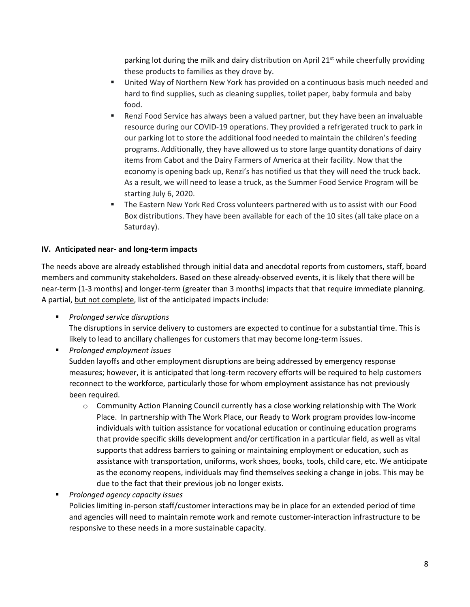parking lot during the milk and dairy distribution on April  $21<sup>st</sup>$  while cheerfully providing these products to families as they drove by.

- United Way of Northern New York has provided on a continuous basis much needed and hard to find supplies, such as cleaning supplies, toilet paper, baby formula and baby food.
- Renzi Food Service has always been a valued partner, but they have been an invaluable resource during our COVID-19 operations. They provided a refrigerated truck to park in our parking lot to store the additional food needed to maintain the children's feeding programs. Additionally, they have allowed us to store large quantity donations of dairy items from Cabot and the Dairy Farmers of America at their facility. Now that the economy is opening back up, Renzi's has notified us that they will need the truck back. As a result, we will need to lease a truck, as the Summer Food Service Program will be starting July 6, 2020.
- The Eastern New York Red Cross volunteers partnered with us to assist with our Food Box distributions. They have been available for each of the 10 sites (all take place on a Saturday).

# **IV. Anticipated near- and long-term impacts**

The needs above are already established through initial data and anecdotal reports from customers, staff, board members and community stakeholders. Based on these already-observed events, it is likely that there will be near-term (1-3 months) and longer-term (greater than 3 months) impacts that that require immediate planning. A partial, but not complete, list of the anticipated impacts include:

- *Prolonged service disruptions* The disruptions in service delivery to customers are expected to continue for a substantial time. This is likely to lead to ancillary challenges for customers that may become long-term issues.
- *Prolonged employment issues* Sudden layoffs and other employment disruptions are being addressed by emergency response measures; however, it is anticipated that long-term recovery efforts will be required to help customers reconnect to the workforce, particularly those for whom employment assistance has not previously
	- been required.  $\circ$  Community Action Planning Council currently has a close working relationship with The Work Place. In partnership with The Work Place, our Ready to Work program provides low-income individuals with tuition assistance for vocational education or continuing education programs that provide specific skills development and/or certification in a particular field, as well as vital supports that address barriers to gaining or maintaining employment or education, such as assistance with transportation, uniforms, work shoes, books, tools, child care, etc. We anticipate as the economy reopens, individuals may find themselves seeking a change in jobs. This may be due to the fact that their previous job no longer exists.

*Prolonged agency capacity issues*

Policies limiting in-person staff/customer interactions may be in place for an extended period of time and agencies will need to maintain remote work and remote customer-interaction infrastructure to be responsive to these needs in a more sustainable capacity.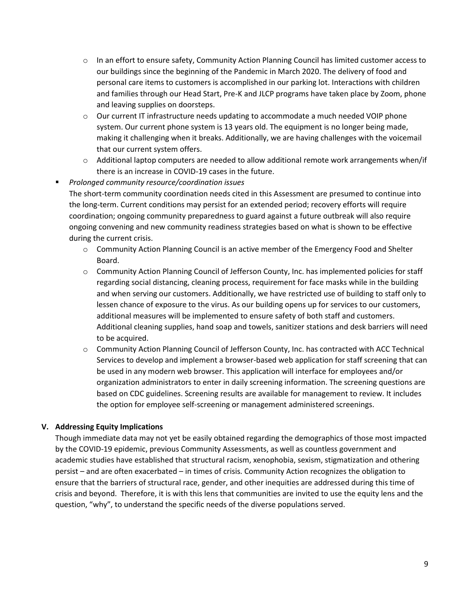- $\circ$  In an effort to ensure safety, Community Action Planning Council has limited customer access to our buildings since the beginning of the Pandemic in March 2020. The delivery of food and personal care items to customers is accomplished in our parking lot. Interactions with children and families through our Head Start, Pre-K and JLCP programs have taken place by Zoom, phone and leaving supplies on doorsteps.
- $\circ$  Our current IT infrastructure needs updating to accommodate a much needed VOIP phone system. Our current phone system is 13 years old. The equipment is no longer being made, making it challenging when it breaks. Additionally, we are having challenges with the voicemail that our current system offers.
- $\circ$  Additional laptop computers are needed to allow additional remote work arrangements when/if there is an increase in COVID-19 cases in the future.
- *Prolonged community resource/coordination issues*

The short-term community coordination needs cited in this Assessment are presumed to continue into the long-term. Current conditions may persist for an extended period; recovery efforts will require coordination; ongoing community preparedness to guard against a future outbreak will also require ongoing convening and new community readiness strategies based on what is shown to be effective during the current crisis.

- $\circ$  Community Action Planning Council is an active member of the Emergency Food and Shelter Board.
- o Community Action Planning Council of Jefferson County, Inc. has implemented policies for staff regarding social distancing, cleaning process, requirement for face masks while in the building and when serving our customers. Additionally, we have restricted use of building to staff only to lessen chance of exposure to the virus. As our building opens up for services to our customers, additional measures will be implemented to ensure safety of both staff and customers. Additional cleaning supplies, hand soap and towels, sanitizer stations and desk barriers will need to be acquired.
- o Community Action Planning Council of Jefferson County, Inc. has contracted with ACC Technical Services to develop and implement a browser-based web application for staff screening that can be used in any modern web browser. This application will interface for employees and/or organization administrators to enter in daily screening information. The screening questions are based on CDC guidelines. Screening results are available for management to review. It includes the option for employee self-screening or management administered screenings.

### **V. Addressing Equity Implications**

Though immediate data may not yet be easily obtained regarding the demographics of those most impacted by the COVID-19 epidemic, previous Community Assessments, as well as countless government and academic studies have established that structural racism, xenophobia, sexism, stigmatization and othering persist – and are often exacerbated – in times of crisis. Community Action recognizes the obligation to ensure that the barriers of structural race, gender, and other inequities are addressed during this time of crisis and beyond. Therefore, it is with this lens that communities are invited to use the equity lens and the question, "why", to understand the specific needs of the diverse populations served.